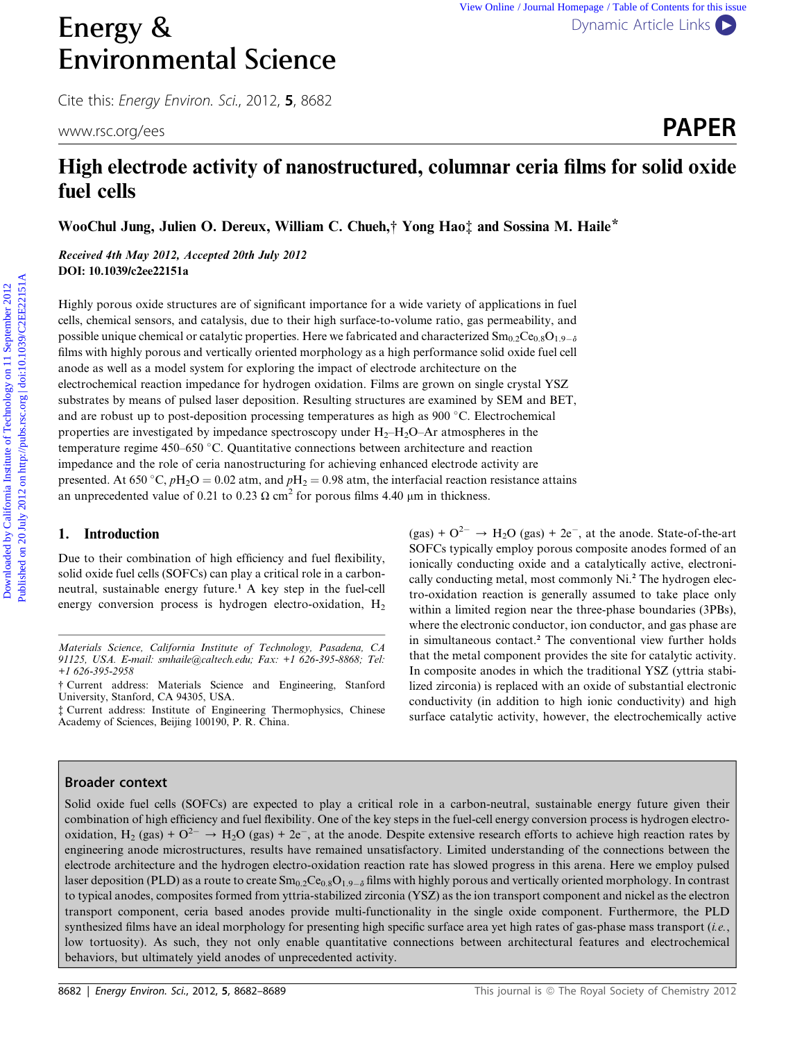# Energy & [Dynamic Article Links](http://dx.doi.org/10.1039/c2ee22151a) Environmental Science

Cite this: Energy Environ. Sci., 2012, <sup>5</sup>, 8682

# High electrode activity of nanostructured, columnar ceria films for solid oxide fuel cells www.rsc.org/ees **PAPER**

WooChul Jung, Julien O. Dereux, William C. Chueh,† Yong Hao‡ and Sossina M. Haile\*

Received 4th May 2012, Accepted 20th July 2012 DOI: 10.1039/c2ee22151a

Highly porous oxide structures are of significant importance for a wide variety of applications in fuel cells, chemical sensors, and catalysis, due to their high surface-to-volume ratio, gas permeability, and possible unique chemical or catalytic properties. Here we fabricated and characterized  $\text{Sm}_{0.2}\text{Ce}_{0.8}\text{O}_{1.9-\delta}$ films with highly porous and vertically oriented morphology as a high performance solid oxide fuel cell anode as well as a model system for exploring the impact of electrode architecture on the electrochemical reaction impedance for hydrogen oxidation. Films are grown on single crystal YSZ substrates by means of pulsed laser deposition. Resulting structures are examined by SEM and BET, and are robust up to post-deposition processing temperatures as high as 900 °C. Electrochemical properties are investigated by impedance spectroscopy under  $H_2-H_2O-Ar$  atmospheres in the temperature regime  $450-650$  °C. Quantitative connections between architecture and reaction impedance and the role of ceria nanostructuring for achieving enhanced electrode activity are presented. At 650 °C,  $pH_2O = 0.02$  atm, and  $pH_2 = 0.98$  atm, the interfacial reaction resistance attains an unprecedented value of 0.21 to 0.23  $\Omega$  cm<sup>2</sup> for porous films 4.40  $\mu$ m in thickness. **Energy &**<br> **Environmental Science**<br>
Cite this *Creegy Erviceo.* Sci. 2012, **5**, 8682<br>
www.sc.org/ress<br> **High electrode activity of nanostructured, columnar ceria films for solid oxide**<br> **fuel cells**<br>
Woof and Jung Julie

### 1. Introduction

Due to their combination of high efficiency and fuel flexibility, solid oxide fuel cells (SOFCs) can play a critical role in a carbonneutral, sustainable energy future.<sup>1</sup> A key step in the fuel-cell energy conversion process is hydrogen electro-oxidation, H<sub>2</sub>

† Current address: Materials Science and Engineering, Stanford University, Stanford, CA 94305, USA.

 $(gas) + O^{2-} \rightarrow H_2O$  (gas) + 2e<sup>-</sup>, at the anode. State-of-the-art SOFCs typically employ porous composite anodes formed of an ionically conducting oxide and a catalytically active, electronically conducting metal, most commonly Ni.<sup>2</sup> The hydrogen electro-oxidation reaction is generally assumed to take place only within a limited region near the three-phase boundaries (3PBs), where the electronic conductor, ion conductor, and gas phase are in simultaneous contact.<sup>2</sup> The conventional view further holds that the metal component provides the site for catalytic activity. In composite anodes in which the traditional YSZ (yttria stabilized zirconia) is replaced with an oxide of substantial electronic conductivity (in addition to high ionic conductivity) and high surface catalytic activity, however, the electrochemically active

# Broader context

Solid oxide fuel cells (SOFCs) are expected to play a critical role in a carbon-neutral, sustainable energy future given their combination of high efficiency and fuel flexibility. One of the key steps in the fuel-cell energy conversion process is hydrogen electrooxidation, H<sub>2</sub> (gas) +  $O^{2-}$   $\rightarrow$  H<sub>2</sub>O (gas) + 2e<sup>-</sup>, at the anode. Despite extensive research efforts to achieve high reaction rates by engineering anode microstructures, results have remained unsatisfactory. Limited understanding of the connections between the electrode architecture and the hydrogen electro-oxidation reaction rate has slowed progress in this arena. Here we employ pulsed laser deposition (PLD) as a route to create  $Sm_{0.2}Ce_{0.8}O_{1.9-\delta}$  films with highly porous and vertically oriented morphology. In contrast to typical anodes, composites formed from yttria-stabilized zirconia (YSZ) as the ion transport component and nickel as the electron transport component, ceria based anodes provide multi-functionality in the single oxide component. Furthermore, the PLD synthesized films have an ideal morphology for presenting high specific surface area yet high rates of gas-phase mass transport (i.e., low tortuosity). As such, they not only enable quantitative connections between architectural features and electrochemical behaviors, but ultimately yield anodes of unprecedented activity.

Materials Science, California Institute of Technology, Pasadena, CA 91125, USA. E-mail: smhaile@caltech.edu; Fax: +1 626-395-8868; Tel: +1 626-395-2958

<sup>‡</sup> Current address: Institute of Engineering Thermophysics, Chinese Academy of Sciences, Beijing 100190, P. R. China.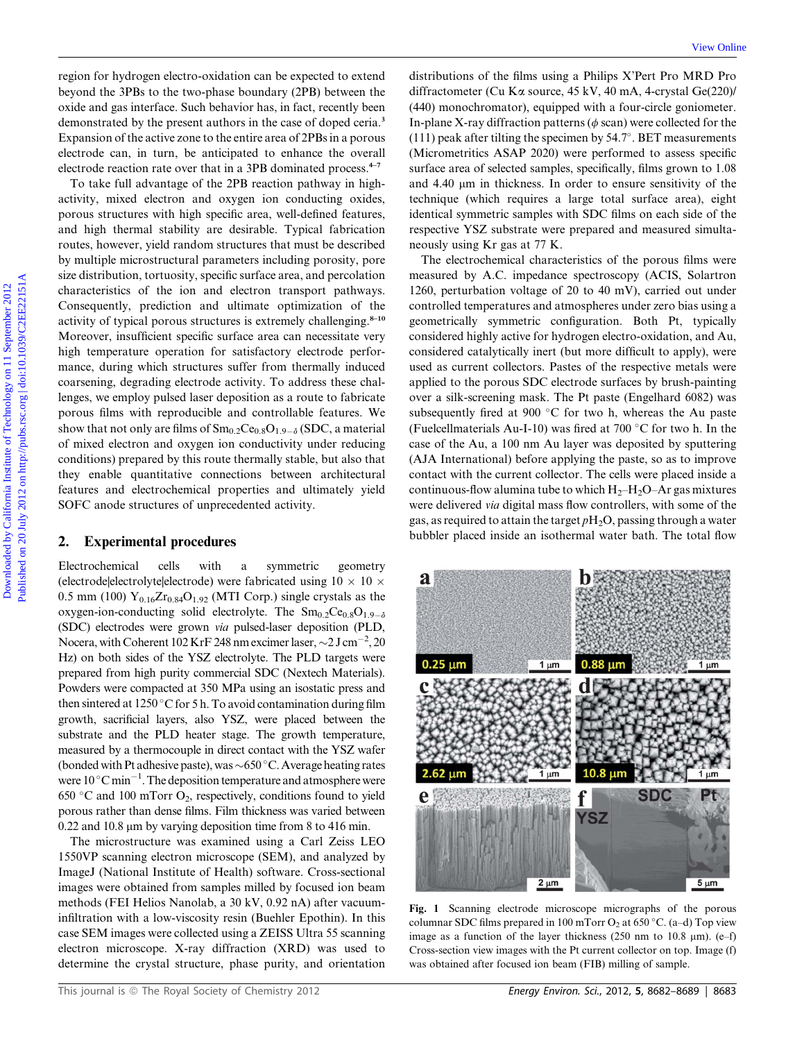region for hydrogen electro-oxidation can be expected to extend beyond the 3PBs to the two-phase boundary (2PB) between the oxide and gas interface. Such behavior has, in fact, recently been demonstrated by the present authors in the case of doped ceria.<sup>3</sup> Expansion of the active zone to the entire area of 2PBs in a porous electrode can, in turn, be anticipated to enhance the overall electrode reaction rate over that in a 3PB dominated process.<sup>4–7</sup>

To take full advantage of the 2PB reaction pathway in highactivity, mixed electron and oxygen ion conducting oxides, porous structures with high specific area, well-defined features, and high thermal stability are desirable. Typical fabrication routes, however, yield random structures that must be described by multiple microstructural parameters including porosity, pore size distribution, tortuosity, specific surface area, and percolation characteristics of the ion and electron transport pathways. Consequently, prediction and ultimate optimization of the activity of typical porous structures is extremely challenging. $8-10$ Moreover, insufficient specific surface area can necessitate very high temperature operation for satisfactory electrode performance, during which structures suffer from thermally induced coarsening, degrading electrode activity. To address these challenges, we employ pulsed laser deposition as a route to fabricate porous films with reproducible and controllable features. We show that not only are films of  $Sm_{0.2}Ce_{0.8}O_{1.9-\delta}$  (SDC, a material of mixed electron and oxygen ion conductivity under reducing conditions) prepared by this route thermally stable, but also that they enable quantitative connections between architectural features and electrochemical properties and ultimately yield SOFC anode structures of unprecedented activity. region for hydrogen destron-solidion can be expected to externed fluid theoretics (September 2012) above the Source of Karence, Kay and A-synetics (September 2012) and the Niel Case (September 2012) and the California Ins

#### 2. Experimental procedures

Electrochemical cells with a symmetric geometry (electrode|electrolyte|electrode) were fabricated using  $10 \times 10 \times$ 0.5 mm (100)  $Y_{0.16}Zr_{0.84}O_{1.92}$  (MTI Corp.) single crystals as the oxygen-ion-conducting solid electrolyte. The  $Sm_{0.2}Ce_{0.8}O_{1.9-\delta}$ (SDC) electrodes were grown via pulsed-laser deposition (PLD, Nocera, with Coherent 102 KrF 248 nm excimer laser,  $\sim$  2 J cm<sup>-2</sup>, 20 Hz) on both sides of the YSZ electrolyte. The PLD targets were prepared from high purity commercial SDC (Nextech Materials). Powders were compacted at 350 MPa using an isostatic press and then sintered at 1250 °C for 5 h. To avoid contamination during film growth, sacrificial layers, also YSZ, were placed between the substrate and the PLD heater stage. The growth temperature, measured by a thermocouple in direct contact with the YSZ wafer (bonded with Pt adhesive paste), was  $\sim650\,^{\circ}\text{C}$ . Average heating rates were  $10\,^{\circ}\mathrm{C}\min^{-1}$ . The deposition temperature and atmosphere were 650 °C and 100 mTorr  $O_2$ , respectively, conditions found to yield porous rather than dense films. Film thickness was varied between  $0.22$  and  $10.8$  µm by varying deposition time from 8 to 416 min.

The microstructure was examined using a Carl Zeiss LEO 1550VP scanning electron microscope (SEM), and analyzed by ImageJ (National Institute of Health) software. Cross-sectional images were obtained from samples milled by focused ion beam methods (FEI Helios Nanolab, a 30 kV, 0.92 nA) after vacuuminfiltration with a low-viscosity resin (Buehler Epothin). In this case SEM images were collected using a ZEISS Ultra 55 scanning electron microscope. X-ray diffraction (XRD) was used to determine the crystal structure, phase purity, and orientation

distributions of the films using a Philips X'Pert Pro MRD Pro diffractometer (Cu Ka source, 45 kV, 40 mA, 4-crystal Ge(220)/ (440) monochromator), equipped with a four-circle goniometer. In-plane X-ray diffraction patterns ( $\phi$  scan) were collected for the  $(111)$  peak after tilting the specimen by 54.7°. BET measurements (Micrometritics ASAP 2020) were performed to assess specific surface area of selected samples, specifically, films grown to 1.08 and 4.40 um in thickness. In order to ensure sensitivity of the technique (which requires a large total surface area), eight identical symmetric samples with SDC films on each side of the respective YSZ substrate were prepared and measured simultaneously using Kr gas at 77 K.

The electrochemical characteristics of the porous films were measured by A.C. impedance spectroscopy (ACIS, Solartron 1260, perturbation voltage of 20 to 40 mV), carried out under controlled temperatures and atmospheres under zero bias using a geometrically symmetric configuration. Both Pt, typically considered highly active for hydrogen electro-oxidation, and Au, considered catalytically inert (but more difficult to apply), were used as current collectors. Pastes of the respective metals were applied to the porous SDC electrode surfaces by brush-painting over a silk-screening mask. The Pt paste (Engelhard 6082) was subsequently fired at 900  $\degree$ C for two h, whereas the Au paste (Fuelcellmaterials Au-I-10) was fired at 700  $\degree$ C for two h. In the case of the Au, a 100 nm Au layer was deposited by sputtering (AJA International) before applying the paste, so as to improve contact with the current collector. The cells were placed inside a continuous-flow alumina tube to which  $H_2-H_2O-Ar$  gas mixtures were delivered via digital mass flow controllers, with some of the gas, as required to attain the target  $pH_2O$ , passing through a water bubbler placed inside an isothermal water bath. The total flow



Fig. 1 Scanning electrode microscope micrographs of the porous columnar SDC films prepared in 100 mTorr  $O_2$  at 650 °C. (a–d) Top view image as a function of the layer thickness (250 nm to 10.8  $\mu$ m). (e–f) Cross-section view images with the Pt current collector on top. Image (f) was obtained after focused ion beam (FIB) milling of sample.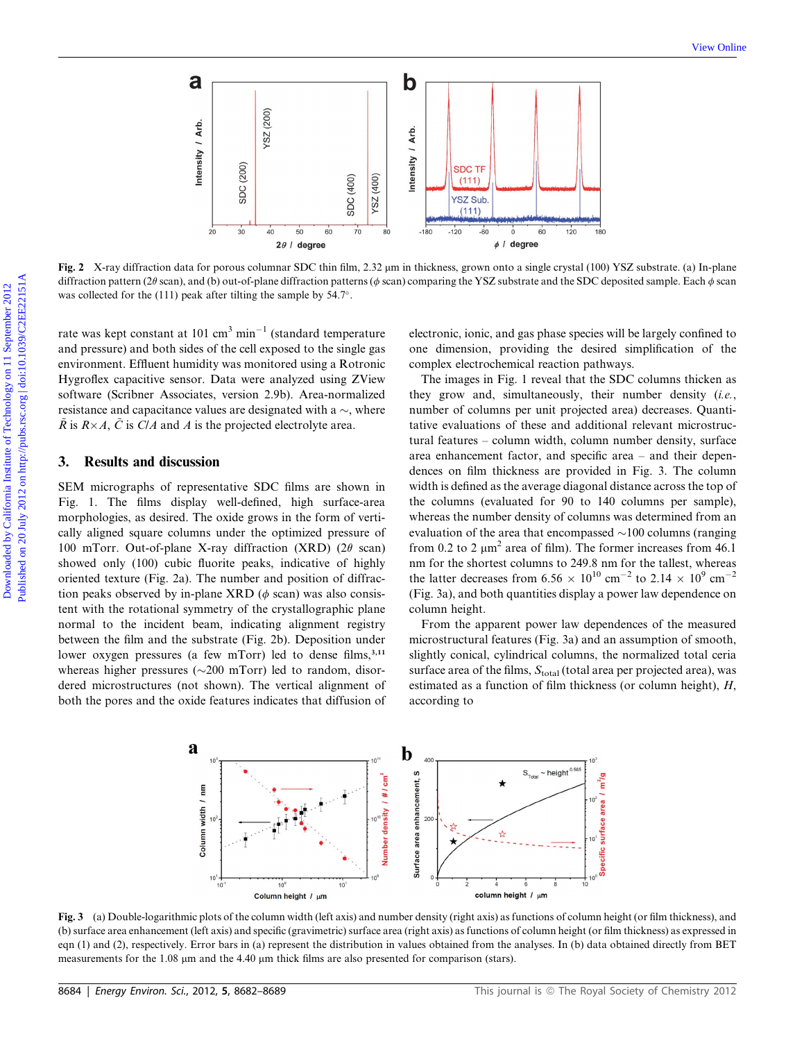

Fig. 2 X-ray diffraction data for porous columnar SDC thin film, 2.32  $\mu$ m in thickness, grown onto a single crystal (100) YSZ substrate. (a) In-plane diffraction pattern (2 $\theta$  scan), and (b) out-of-plane diffraction patterns ( $\phi$  scan) comparing the YSZ substrate and the SDC deposited sample. Each  $\phi$  scan was collected for the (111) peak after tilting the sample by 54.7°.

rate was kept constant at 101 cm<sup>3</sup> min<sup>-1</sup> (standard temperature and pressure) and both sides of the cell exposed to the single gas environment. Effluent humidity was monitored using a Rotronic Hygroflex capacitive sensor. Data were analyzed using ZView software (Scribner Associates, version 2.9b). Area-normalized resistance and capacitance values are designated with a  $\sim$ , where  $\tilde{R}$  is  $R\times A$ ,  $\tilde{C}$  is C/A and A is the projected electrolyte area.

# 3. Results and discussion

SEM micrographs of representative SDC films are shown in Fig. 1. The films display well-defined, high surface-area morphologies, as desired. The oxide grows in the form of vertically aligned square columns under the optimized pressure of 100 mTorr. Out-of-plane X-ray diffraction (XRD) (2 $\theta$  scan) showed only (100) cubic fluorite peaks, indicative of highly oriented texture (Fig. 2a). The number and position of diffraction peaks observed by in-plane XRD ( $\phi$  scan) was also consistent with the rotational symmetry of the crystallographic plane normal to the incident beam, indicating alignment registry between the film and the substrate (Fig. 2b). Deposition under lower oxygen pressures (a few mTorr) led to dense films, $3,11$ whereas higher pressures ( $\sim$ 200 mTorr) led to random, disordered microstructures (not shown). The vertical alignment of both the pores and the oxide features indicates that diffusion of electronic, ionic, and gas phase species will be largely confined to one dimension, providing the desired simplification of the complex electrochemical reaction pathways.

The images in Fig. 1 reveal that the SDC columns thicken as they grow and, simultaneously, their number density (i.e., number of columns per unit projected area) decreases. Quantitative evaluations of these and additional relevant microstructural features – column width, column number density, surface area enhancement factor, and specific area – and their dependences on film thickness are provided in Fig. 3. The column width is defined as the average diagonal distance across the top of the columns (evaluated for 90 to 140 columns per sample), whereas the number density of columns was determined from an evaluation of the area that encompassed  $\sim$ 100 columns (ranging from 0.2 to 2  $\mu$ m<sup>2</sup> area of film). The former increases from 46.1 nm for the shortest columns to 249.8 nm for the tallest, whereas the latter decreases from 6.56  $\times$  10<sup>10</sup> cm<sup>-2</sup> to 2.14  $\times$  10<sup>9</sup> cm<sup>-2</sup> (Fig. 3a), and both quantities display a power law dependence on column height.

From the apparent power law dependences of the measured microstructural features (Fig. 3a) and an assumption of smooth, slightly conical, cylindrical columns, the normalized total ceria surface area of the films,  $S<sub>total</sub>$  (total area per projected area), was estimated as a function of film thickness (or column height), H, according to



Fig. 3 (a) Double-logarithmic plots of the column width (left axis) and number density (right axis) as functions of column height (or film thickness), and (b) surface area enhancement (left axis) and specific (gravimetric) surface area (right axis) as functions of column height (or film thickness) as expressed in eqn (1) and (2), respectively. Error bars in (a) represent the distribution in values obtained from the analyses. In (b) data obtained directly from BET measurements for the 1.08  $\mu$ m and the 4.40  $\mu$ m thick films are also presented for comparison (stars).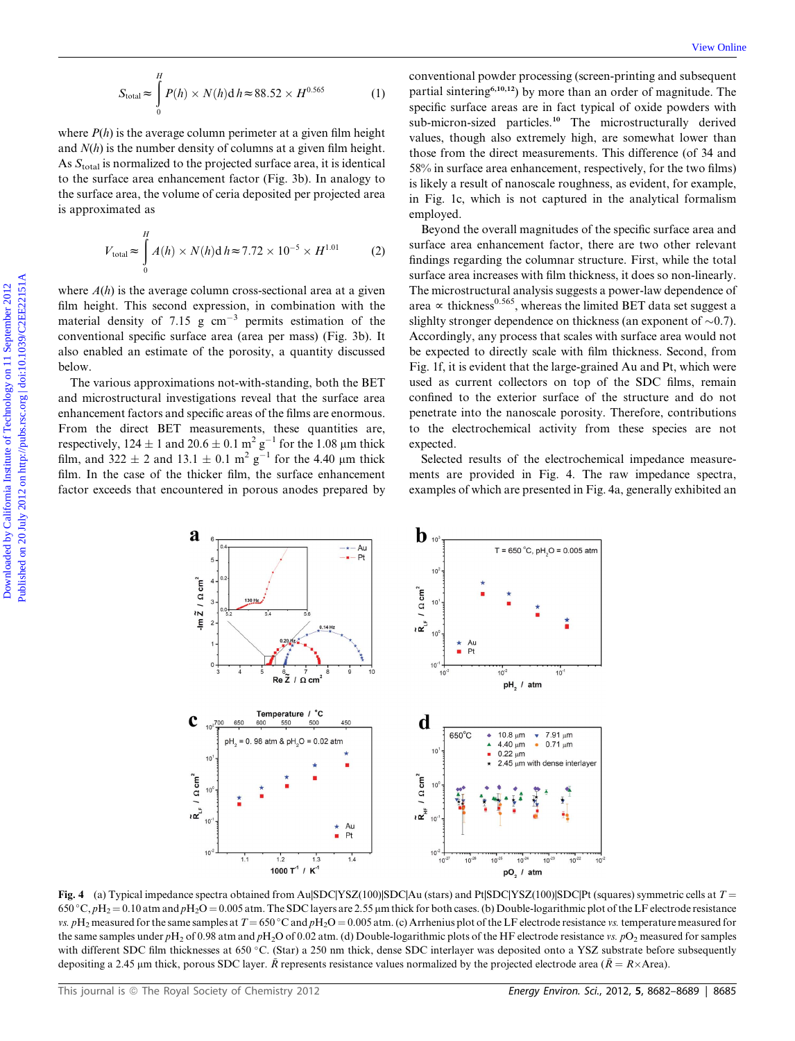where  $P(h)$  is the average column perimeter at a given film height and  $N(h)$  is the number density of columns at a given film height. As  $S<sub>total</sub>$  is normalized to the projected surface area, it is identical to the surface area enhancement factor (Fig. 3b). In analogy to the surface area, the volume of ceria deposited per projected area is approximated as

$$
V_{\text{total}} \approx \int_{0}^{H} A(h) \times N(h) \, \text{d} \, h \approx 7.72 \times 10^{-5} \times H^{1.01} \tag{2}
$$

where  $A(h)$  is the average column cross-sectional area at a given film height. This second expression, in combination with the material density of 7.15 g  $cm^{-3}$  permits estimation of the conventional specific surface area (area per mass) (Fig. 3b). It also enabled an estimate of the porosity, a quantity discussed below.

The various approximations not-with-standing, both the BET and microstructural investigations reveal that the surface area enhancement factors and specific areas of the films are enormous. From the direct BET measurements, these quantities are, respectively,  $124 \pm 1$  and  $20.6 \pm 0.1$  m<sup>2</sup> g<sup>-1</sup> for the 1.08 µm thick film, and  $322 \pm 2$  and  $13.1 \pm 0.1$  m<sup>2</sup> g<sup>-1</sup> for the 4.40 µm thick film. In the case of the thicker film, the surface enhancement factor exceeds that encountered in porous anodes prepared by

conventional powder processing (screen-printing and subsequent partial sintering6,10,12) by more than an order of magnitude. The specific surface areas are in fact typical of oxide powders with sub-micron-sized particles.<sup>10</sup> The microstructurally derived values, though also extremely high, are somewhat lower than those from the direct measurements. This difference (of 34 and 58% in surface area enhancement, respectively, for the two films) is likely a result of nanoscale roughness, as evident, for example, in Fig. 1c, which is not captured in the analytical formalism employed.

Beyond the overall magnitudes of the specific surface area and surface area enhancement factor, there are two other relevant findings regarding the columnar structure. First, while the total surface area increases with film thickness, it does so non-linearly. The microstructural analysis suggests a power-law dependence of area  $\propto$  thickness<sup>0.565</sup>, whereas the limited BET data set suggest a slighlty stronger dependence on thickness (an exponent of  $\sim 0.7$ ). Accordingly, any process that scales with surface area would not be expected to directly scale with film thickness. Second, from Fig. 1f, it is evident that the large-grained Au and Pt, which were used as current collectors on top of the SDC films, remain confined to the exterior surface of the structure and do not penetrate into the nanoscale porosity. Therefore, contributions to the electrochemical activity from these species are not expected.  $S_{\text{total}} = \int_{0}^{T} P(t) \times N(t) \, dt = 88.52 \times 10^{6.52}$  (1) environmental envelope measure in the specific enterminal on the specific enterminal of the material on the specific enterminal on the specific enterprise of the materia

Selected results of the electrochemical impedance measurements are provided in Fig. 4. The raw impedance spectra, examples of which are presented in Fig. 4a, generally exhibited an



Fig. 4 (a) Typical impedance spectra obtained from Au $|SDC|YSZ(100)|SDC|A$ u (stars) and Pt $|SDC|YSZ(100)|SDC|Pt$  (squares) symmetric cells at  $T =$  $650^{\circ}$ C,  $pH_2 = 0.10$  atm and  $pH_2O = 0.005$  atm. The SDC layers are 2.55 µm thick for both cases. (b) Double-logarithmic plot of the LF electrode resistance vs.  $pH_2$  measured for the same samples at  $T = 650 \degree \text{C}$  and  $pH_2O = 0.005$  atm. (c) Arrhenius plot of the LF electrode resistance vs. temperature measured for the same samples under  $pH_2$  of 0.98 atm and  $pH_2O$  of 0.02 atm. (d) Double-logarithmic plots of the HF electrode resistance vs.  $pO_2$  measured for samples with different SDC film thicknesses at 650 °C. (Star) a 250 nm thick, dense SDC interlayer was deposited onto a YSZ substrate before subsequently depositing a 2.45 µm thick, porous SDC layer.  $\tilde{R}$  represents resistance values normalized by the projected electrode area ( $\tilde{R} = R \times Area$ ).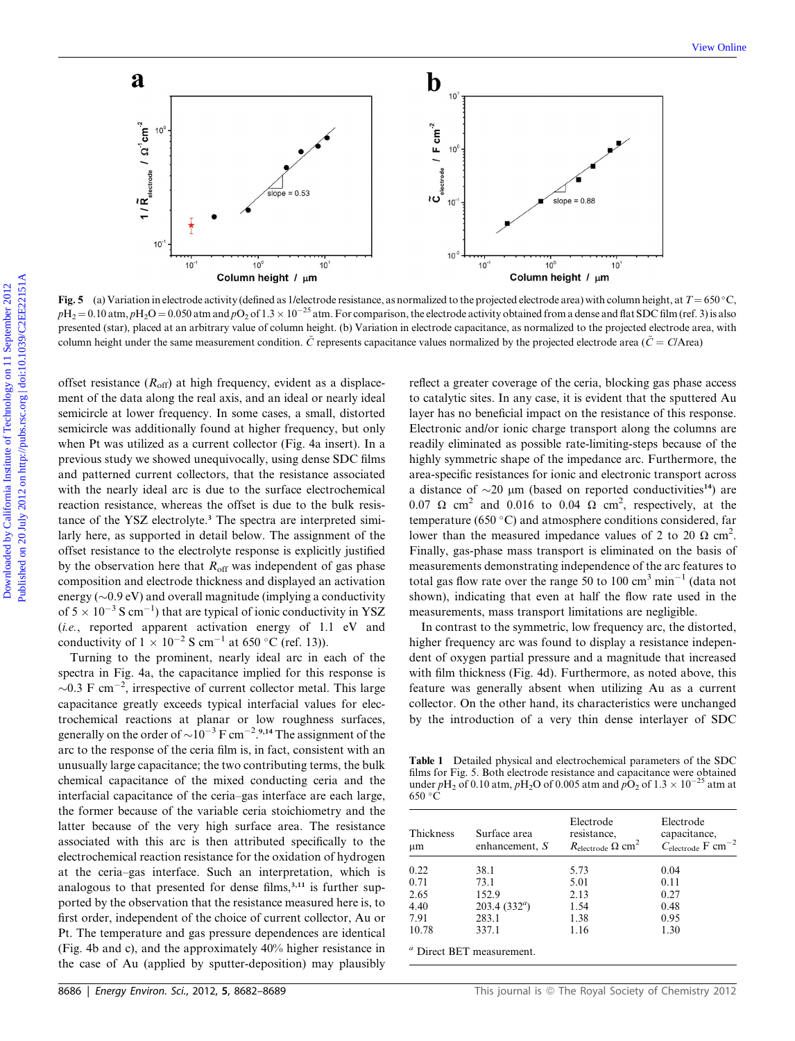

Fig. 5 (a) Variation in electrode activity (defined as 1/electrode resistance, as normalized to the projected electrode area) with column height, at  $T = 650 \degree \text{C}$ ,  $pH_2 = 0.10$  atm,  $pH_2O = 0.050$  atm and  $pO_2$  of  $1.3 \times 10^{-25}$  atm. For comparison, the electrode activity obtained from a dense and flat SDC film (ref. 3) is also presented (star), placed at an arbitrary value of column height. (b) Variation in electrode capacitance, as normalized to the projected electrode area, with column height under the same measurement condition.  $\tilde{C}$  represents capacitance values normalized by the projected electrode area ( $\tilde{C} = C/A$ rea)

offset resistance  $(R<sub>off</sub>)$  at high frequency, evident as a displacement of the data along the real axis, and an ideal or nearly ideal semicircle at lower frequency. In some cases, a small, distorted semicircle was additionally found at higher frequency, but only when Pt was utilized as a current collector (Fig. 4a insert). In a previous study we showed unequivocally, using dense SDC films and patterned current collectors, that the resistance associated with the nearly ideal arc is due to the surface electrochemical reaction resistance, whereas the offset is due to the bulk resistance of the YSZ electrolyte.<sup>3</sup> The spectra are interpreted similarly here, as supported in detail below. The assignment of the offset resistance to the electrolyte response is explicitly justified by the observation here that  $R_{\text{off}}$  was independent of gas phase composition and electrode thickness and displayed an activation energy ( $\sim$ 0.9 eV) and overall magnitude (implying a conductivity of  $5 \times 10^{-3}$  S cm<sup>-1</sup>) that are typical of ionic conductivity in YSZ (i.e., reported apparent activation energy of 1.1 eV and conductivity of  $1 \times 10^{-2}$  S cm<sup>-1</sup> at 650 °C (ref. 13)).

Turning to the prominent, nearly ideal arc in each of the spectra in Fig. 4a, the capacitance implied for this response is  $\sim$ 0.3 F cm<sup>-2</sup>, irrespective of current collector metal. This large capacitance greatly exceeds typical interfacial values for electrochemical reactions at planar or low roughness surfaces, generally on the order of  $\sim 10^{-3}$  F cm<sup>-2</sup>.<sup>9,14</sup> The assignment of the arc to the response of the ceria film is, in fact, consistent with an unusually large capacitance; the two contributing terms, the bulk chemical capacitance of the mixed conducting ceria and the interfacial capacitance of the ceria–gas interface are each large, the former because of the variable ceria stoichiometry and the latter because of the very high surface area. The resistance associated with this arc is then attributed specifically to the electrochemical reaction resistance for the oxidation of hydrogen at the ceria–gas interface. Such an interpretation, which is analogous to that presented for dense films,<sup>3,11</sup> is further supported by the observation that the resistance measured here is, to first order, independent of the choice of current collector, Au or Pt. The temperature and gas pressure dependences are identical (Fig. 4b and c), and the approximately 40% higher resistance in the case of Au (applied by sputter-deposition) may plausibly

reflect a greater coverage of the ceria, blocking gas phase access to catalytic sites. In any case, it is evident that the sputtered Au layer has no beneficial impact on the resistance of this response. Electronic and/or ionic charge transport along the columns are readily eliminated as possible rate-limiting-steps because of the highly symmetric shape of the impedance arc. Furthermore, the area-specific resistances for ionic and electronic transport across a distance of  $\sim$ 20 µm (based on reported conductivities<sup>14</sup>) are 0.07  $\Omega$  cm<sup>2</sup> and 0.016 to 0.04  $\Omega$  cm<sup>2</sup>, respectively, at the temperature (650 $^{\circ}$ C) and atmosphere conditions considered, far lower than the measured impedance values of 2 to 20  $\Omega$  cm<sup>2</sup>. Finally, gas-phase mass transport is eliminated on the basis of measurements demonstrating independence of the arc features to total gas flow rate over the range 50 to 100  $\text{cm}^3 \text{ min}^{-1}$  (data not shown), indicating that even at half the flow rate used in the measurements, mass transport limitations are negligible.

In contrast to the symmetric, low frequency arc, the distorted, higher frequency arc was found to display a resistance independent of oxygen partial pressure and a magnitude that increased with film thickness (Fig. 4d). Furthermore, as noted above, this feature was generally absent when utilizing Au as a current collector. On the other hand, its characteristics were unchanged by the introduction of a very thin dense interlayer of SDC

Table 1 Detailed physical and electrochemical parameters of the SDC films for Fig. 5. Both electrode resistance and capacitance were obtained under  $pH_2$  of 0.10 atm,  $pH_2O$  of 0.005 atm and  $pO_2$  of 1.3  $\times$  10<sup>-25</sup> atm at  $650 °C$ 

| Thickness<br>$\mu$ m | Surface area<br>enhancement, $S$ | Electrode<br>resistance,<br>$R_{\text{electrode}} \Omega \text{ cm}^2$ | Electrode<br>capacitance,<br>$C_{\text{electrode}}$ F cm <sup>-2</sup> |
|----------------------|----------------------------------|------------------------------------------------------------------------|------------------------------------------------------------------------|
|                      |                                  |                                                                        |                                                                        |
| 0.71                 | 73.1                             | 5.01                                                                   | 0.11                                                                   |
| 2.65                 | 152.9                            | 2.13                                                                   | 0.27                                                                   |
| 4.40                 | 203.4 $(332^a)$                  | 1.54                                                                   | 0.48                                                                   |
| 7.91                 | 283.1                            | 1.38                                                                   | 0.95                                                                   |
| 10.78                | 337.1                            | 1.16                                                                   | 1.30                                                                   |

<sup>a</sup> Direct BET measurement.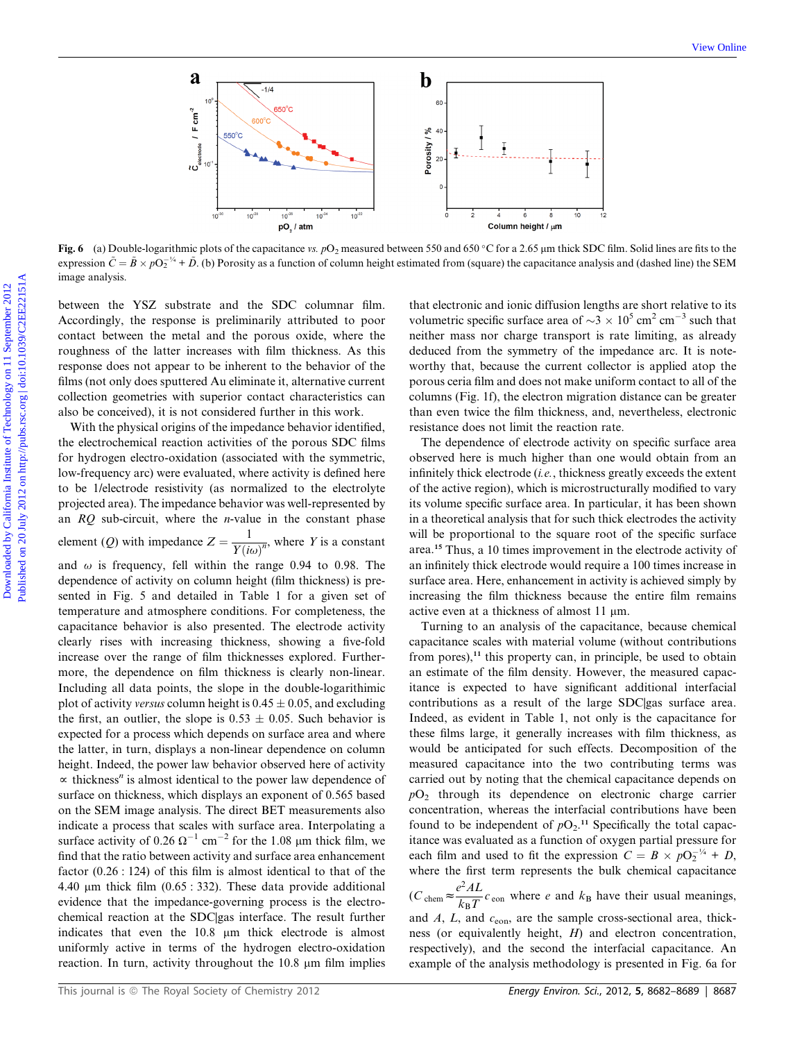

Fig. 6 (a) Double-logarithmic plots of the capacitance vs.  $pO_2$  measured between 550 and 650 °C for a 2.65 µm thick SDC film. Solid lines are fits to the expression  $\tilde{C} = \tilde{B} \times pO_2^{-1/4} + \tilde{D}$ . (b) Porosity as a function of column height estimated from (square) the capacitance analysis and (dashed line) the SEM image analysis.

between the YSZ substrate and the SDC columnar film. Accordingly, the response is preliminarily attributed to poor contact between the metal and the porous oxide, where the roughness of the latter increases with film thickness. As this response does not appear to be inherent to the behavior of the films (not only does sputtered Au eliminate it, alternative current collection geometries with superior contact characteristics can also be conceived), it is not considered further in this work.

With the physical origins of the impedance behavior identified, the electrochemical reaction activities of the porous SDC films for hydrogen electro-oxidation (associated with the symmetric, low-frequency arc) were evaluated, where activity is defined here to be 1/electrode resistivity (as normalized to the electrolyte projected area). The impedance behavior was well-represented by an  $RQ$  sub-circuit, where the *n*-value in the constant phase element (Q) with impedance  $Z = \frac{1}{Y(i\omega)^n}$ , where Y is a constant and  $\omega$  is frequency, fell within the range 0.94 to 0.98. The dependence of activity on column height (film thickness) is presented in Fig. 5 and detailed in Table 1 for a given set of temperature and atmosphere conditions. For completeness, the capacitance behavior is also presented. The electrode activity clearly rises with increasing thickness, showing a five-fold increase over the range of film thicknesses explored. Furthermore, the dependence on film thickness is clearly non-linear. Including all data points, the slope in the double-logarithimic plot of activity versus column height is  $0.45 \pm 0.05$ , and excluding the first, an outlier, the slope is  $0.53 \pm 0.05$ . Such behavior is expected for a process which depends on surface area and where the latter, in turn, displays a non-linear dependence on column height. Indeed, the power law behavior observed here of activity  $\alpha$  thickness<sup>*n*</sup> is almost identical to the power law dependence of surface on thickness, which displays an exponent of 0.565 based on the SEM image analysis. The direct BET measurements also indicate a process that scales with surface area. Interpolating a surface activity of  $0.26 \Omega^{-1}$  cm<sup>-2</sup> for the 1.08 µm thick film, we find that the ratio between activity and surface area enhancement factor (0.26 : 124) of this film is almost identical to that of the 4.40  $\mu$ m thick film (0.65 : 332). These data provide additional evidence that the impedance-governing process is the electrochemical reaction at the SDC|gas interface. The result further indicates that even the 10.8  $\mu$ m thick electrode is almost uniformly active in terms of the hydrogen electro-oxidation reaction. In turn, activity throughout the  $10.8 \mu m$  film implies

that electronic and ionic diffusion lengths are short relative to its volumetric specific surface area of  $\sim$ 3  $\times$  10<sup>5</sup> cm<sup>2</sup> cm<sup>-3</sup> such that neither mass nor charge transport is rate limiting, as already deduced from the symmetry of the impedance arc. It is noteworthy that, because the current collector is applied atop the porous ceria film and does not make uniform contact to all of the columns (Fig. 1f), the electron migration distance can be greater than even twice the film thickness, and, nevertheless, electronic resistance does not limit the reaction rate.

The dependence of electrode activity on specific surface area observed here is much higher than one would obtain from an infinitely thick electrode (i.e., thickness greatly exceeds the extent of the active region), which is microstructurally modified to vary its volume specific surface area. In particular, it has been shown in a theoretical analysis that for such thick electrodes the activity will be proportional to the square root of the specific surface area.<sup>15</sup> Thus, a 10 times improvement in the electrode activity of an infinitely thick electrode would require a 100 times increase in surface area. Here, enhancement in activity is achieved simply by increasing the film thickness because the entire film remains active even at a thickness of almost 11  $\mu$ m.

Turning to an analysis of the capacitance, because chemical capacitance scales with material volume (without contributions from pores),<sup>11</sup> this property can, in principle, be used to obtain an estimate of the film density. However, the measured capacitance is expected to have significant additional interfacial contributions as a result of the large SDC|gas surface area. Indeed, as evident in Table 1, not only is the capacitance for these films large, it generally increases with film thickness, as would be anticipated for such effects. Decomposition of the measured capacitance into the two contributing terms was carried out by noting that the chemical capacitance depends on  $pO<sub>2</sub>$  through its dependence on electronic charge carrier concentration, whereas the interfacial contributions have been found to be independent of  $pO_2$ .<sup>11</sup> Specifically the total capacitance was evaluated as a function of oxygen partial pressure for each film and used to fit the expression  $C = B \times pO_2^{-\frac{1}{4}} + D$ , where the first term represents the bulk chemical capacitance

 $(C_{\text{chem}} \approx \frac{e^2 A L}{k_B T} c_{\text{eon}}$  where e and  $k_B$  have their usual meanings, and  $A$ ,  $L$ , and  $c<sub>eon</sub>$ , are the sample cross-sectional area, thickness (or equivalently height, H) and electron concentration, respectively), and the second the interfacial capacitance. An example of the analysis methodology is presented in Fig. 6a for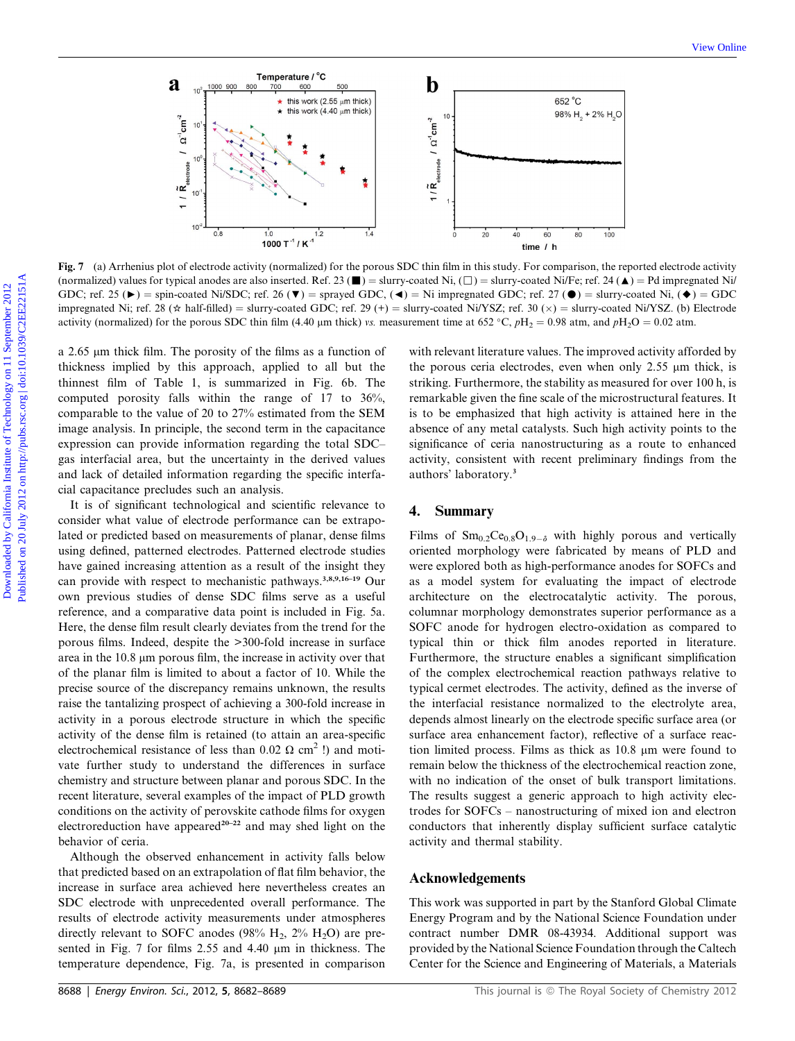

Fig. 7 (a) Arrhenius plot of electrode activity (normalized) for the porous SDC thin film in this study. For comparison, the reported electrode activity (normalized) values for typical anodes are also inserted. Ref. 23 ( $\blacksquare$ ) = slurry-coated Ni, ( $\Box$ ) = slurry-coated Ni/Fe; ref. 24 ( $\blacktriangle$ ) = Pd impregnated Ni/ GDC; ref. 25 ( $\blacktriangleright$ ) = spin-coated Ni/SDC; ref. 26 ( $\nabla$ ) = sprayed GDC, ( $\blacktriangleleft$ ) = Ni impregnated GDC; ref. 27 ( $\blacktriangleleft$ ) = slurry-coated Ni, ( $\blacktriangleleft$ ) = GDC impregnated Ni; ref. 28 ( $\star$  half-filled) = slurry-coated GDC; ref. 29 (+) = slurry-coated Ni/YSZ; ref. 30 ( $\times$ ) = slurry-coated Ni/YSZ. (b) Electrode activity (normalized) for the porous SDC thin film (4.40 µm thick) vs. measurement time at 652 °C,  $pH_2 = 0.98$  atm, and  $pH_2O = 0.02$  atm.

a 2.65 µm thick film. The porosity of the films as a function of thickness implied by this approach, applied to all but the thinnest film of Table 1, is summarized in Fig. 6b. The computed porosity falls within the range of 17 to 36%, comparable to the value of 20 to 27% estimated from the SEM image analysis. In principle, the second term in the capacitance expression can provide information regarding the total SDC– gas interfacial area, but the uncertainty in the derived values and lack of detailed information regarding the specific interfacial capacitance precludes such an analysis.

It is of significant technological and scientific relevance to consider what value of electrode performance can be extrapolated or predicted based on measurements of planar, dense films using defined, patterned electrodes. Patterned electrode studies have gained increasing attention as a result of the insight they can provide with respect to mechanistic pathways.3,8,9,16–19 Our own previous studies of dense SDC films serve as a useful reference, and a comparative data point is included in Fig. 5a. Here, the dense film result clearly deviates from the trend for the porous films. Indeed, despite the >300-fold increase in surface area in the  $10.8 \mu m$  porous film, the increase in activity over that of the planar film is limited to about a factor of 10. While the precise source of the discrepancy remains unknown, the results raise the tantalizing prospect of achieving a 300-fold increase in activity in a porous electrode structure in which the specific activity of the dense film is retained (to attain an area-specific electrochemical resistance of less than 0.02  $\Omega$  cm<sup>2</sup> !) and motivate further study to understand the differences in surface chemistry and structure between planar and porous SDC. In the recent literature, several examples of the impact of PLD growth conditions on the activity of perovskite cathode films for oxygen electroreduction have appeared<sup>20-22</sup> and may shed light on the behavior of ceria.

Although the observed enhancement in activity falls below that predicted based on an extrapolation of flat film behavior, the increase in surface area achieved here nevertheless creates an SDC electrode with unprecedented overall performance. The results of electrode activity measurements under atmospheres directly relevant to SOFC anodes (98%  $H_2$ , 2%  $H_2O$ ) are presented in Fig. 7 for films 2.55 and 4.40  $\mu$ m in thickness. The temperature dependence, Fig. 7a, is presented in comparison

with relevant literature values. The improved activity afforded by the porous ceria electrodes, even when only  $2.55 \mu m$  thick, is striking. Furthermore, the stability as measured for over 100 h, is remarkable given the fine scale of the microstructural features. It is to be emphasized that high activity is attained here in the absence of any metal catalysts. Such high activity points to the significance of ceria nanostructuring as a route to enhanced activity, consistent with recent preliminary findings from the authors' laboratory.<sup>3</sup>

#### 4. Summary

Films of  $\text{Sm}_{0.2}\text{Ce}_{0.8}\text{O}_{1.9-\delta}$  with highly porous and vertically oriented morphology were fabricated by means of PLD and were explored both as high-performance anodes for SOFCs and as a model system for evaluating the impact of electrode architecture on the electrocatalytic activity. The porous, columnar morphology demonstrates superior performance as a SOFC anode for hydrogen electro-oxidation as compared to typical thin or thick film anodes reported in literature. Furthermore, the structure enables a significant simplification of the complex electrochemical reaction pathways relative to typical cermet electrodes. The activity, defined as the inverse of the interfacial resistance normalized to the electrolyte area, depends almost linearly on the electrode specific surface area (or surface area enhancement factor), reflective of a surface reaction limited process. Films as thick as 10.8 µm were found to remain below the thickness of the electrochemical reaction zone, with no indication of the onset of bulk transport limitations. The results suggest a generic approach to high activity electrodes for SOFCs – nanostructuring of mixed ion and electron conductors that inherently display sufficient surface catalytic activity and thermal stability.

#### Acknowledgements

This work was supported in part by the Stanford Global Climate Energy Program and by the National Science Foundation under contract number DMR 08-43934. Additional support was provided by the National Science Foundation through the Caltech Center for the Science and Engineering of Materials, a Materials